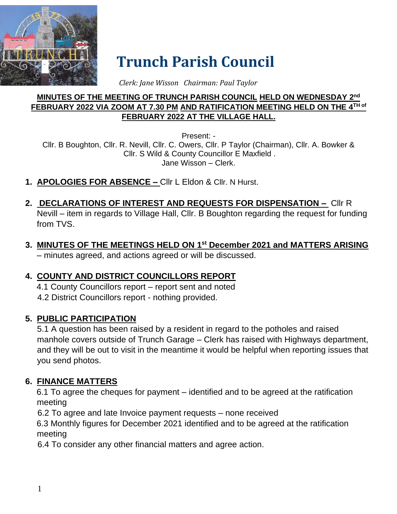

# **Trunch Parish Council**

 *Clerk: Jane Wisson Chairman: Paul Taylor*

#### **MINUTES OF THE MEETING OF TRUNCH PARISH COUNCIL HELD ON WEDNESDAY 2 nd FEBRUARY 2022 VIA ZOOM AT 7.30 PM AND RATIFICATION MEETING HELD ON THE 4 TH of FEBRUARY 2022 AT THE VILLAGE HALL.**

Present: - Cllr. B Boughton, Cllr. R. Nevill, Cllr. C. Owers, Cllr. P Taylor (Chairman), Cllr. A. Bowker & Cllr. S Wild & County Councillor E Maxfield . Jane Wisson – Clerk.

- **1. APOLOGIES FOR ABSENCE –** Cllr L Eldon & Cllr. N Hurst.
- **2. DECLARATIONS OF INTEREST AND REQUESTS FOR DISPENSATION –** Cllr R Nevill – item in regards to Village Hall, Cllr. B Boughton regarding the request for funding from TVS.
- **3. MINUTES OF THE MEETINGS HELD ON 1 st December 2021 and MATTERS ARISING** – minutes agreed, and actions agreed or will be discussed.

## **4. COUNTY AND DISTRICT COUNCILLORS REPORT**

4.1 County Councillors report – report sent and noted 4.2 District Councillors report - nothing provided.

## **5. PUBLIC PARTICIPATION**

5.1 A question has been raised by a resident in regard to the potholes and raised manhole covers outside of Trunch Garage – Clerk has raised with Highways department, and they will be out to visit in the meantime it would be helpful when reporting issues that you send photos.

## **6. FINANCE MATTERS**

6.1 To agree the cheques for payment – identified and to be agreed at the ratification meeting

6.2 To agree and late Invoice payment requests – none received

6.3 Monthly figures for December 2021 identified and to be agreed at the ratification meeting

6.4 To consider any other financial matters and agree action.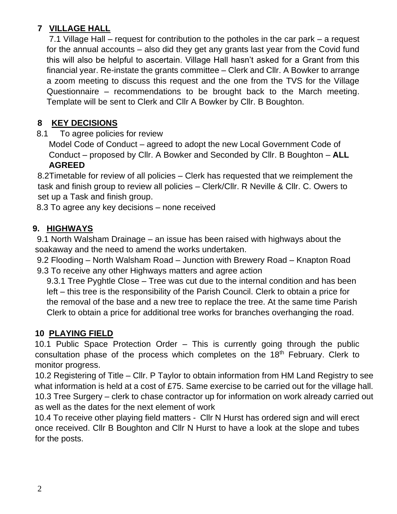## **7 VILLAGE HALL**

7.1 Village Hall – request for contribution to the potholes in the car park – a request for the annual accounts – also did they get any grants last year from the Covid fund this will also be helpful to ascertain. Village Hall hasn't asked for a Grant from this financial year. Re-instate the grants committee – Clerk and Cllr. A Bowker to arrange a zoom meeting to discuss this request and the one from the TVS for the Village Questionnaire – recommendations to be brought back to the March meeting. Template will be sent to Clerk and Cllr A Bowker by Cllr. B Boughton.

#### **8 KEY DECISIONS**

8.1 To agree policies for review

Model Code of Conduct – agreed to adopt the new Local Government Code of Conduct – proposed by Cllr. A Bowker and Seconded by Cllr. B Boughton – **ALL AGREED**

8.2Timetable for review of all policies – Clerk has requested that we reimplement the task and finish group to review all policies – Clerk/Cllr. R Neville & Cllr. C. Owers to set up a Task and finish group.

8.3 To agree any key decisions – none received

#### **9. HIGHWAYS**

9.1 North Walsham Drainage – an issue has been raised with highways about the soakaway and the need to amend the works undertaken.

9.2 Flooding – North Walsham Road – Junction with Brewery Road – Knapton Road 9.3 To receive any other Highways matters and agree action

9.3.1 Tree Pyghtle Close – Tree was cut due to the internal condition and has been left – this tree is the responsibility of the Parish Council. Clerk to obtain a price for the removal of the base and a new tree to replace the tree. At the same time Parish Clerk to obtain a price for additional tree works for branches overhanging the road.

#### **10 PLAYING FIELD**

10.1 Public Space Protection Order – This is currently going through the public consultation phase of the process which completes on the 18<sup>th</sup> February. Clerk to monitor progress.

10.2 Registering of Title – Cllr. P Taylor to obtain information from HM Land Registry to see what information is held at a cost of £75. Same exercise to be carried out for the village hall. 10.3 Tree Surgery – clerk to chase contractor up for information on work already carried out as well as the dates for the next element of work

10.4 To receive other playing field matters - Cllr N Hurst has ordered sign and will erect once received. Cllr B Boughton and Cllr N Hurst to have a look at the slope and tubes for the posts.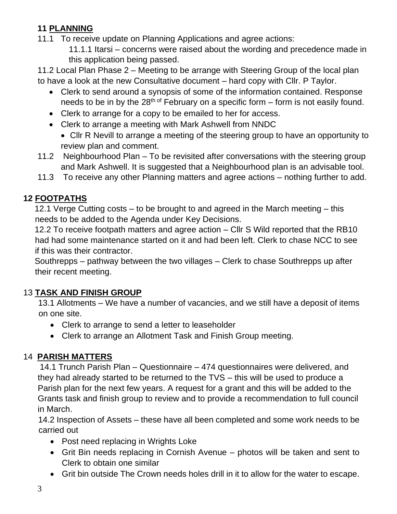## **11 PLANNING**

11.1 To receive update on Planning Applications and agree actions:

11.1.1 Itarsi – concerns were raised about the wording and precedence made in this application being passed.

11.2 Local Plan Phase 2 – Meeting to be arrange with Steering Group of the local plan to have a look at the new Consultative document – hard copy with Cllr. P Taylor.

- Clerk to send around a synopsis of some of the information contained. Response needs to be in by the  $28<sup>th of</sup>$  February on a specific form – form is not easily found.
- Clerk to arrange for a copy to be emailed to her for access.
- Clerk to arrange a meeting with Mark Ashwell from NNDC
	- Cllr R Nevill to arrange a meeting of the steering group to have an opportunity to review plan and comment.
- 11.2 Neighbourhood Plan To be revisited after conversations with the steering group and Mark Ashwell. It is suggested that a Neighbourhood plan is an advisable tool.
- 11.3 To receive any other Planning matters and agree actions nothing further to add.

## **12 FOOTPATHS**

12.1 Verge Cutting costs – to be brought to and agreed in the March meeting – this needs to be added to the Agenda under Key Decisions.

12.2 To receive footpath matters and agree action – Cllr S Wild reported that the RB10 had had some maintenance started on it and had been left. Clerk to chase NCC to see if this was their contractor.

Southrepps – pathway between the two villages – Clerk to chase Southrepps up after their recent meeting.

## 13 **TASK AND FINISH GROUP**

13.1 Allotments – We have a number of vacancies, and we still have a deposit of items on one site.

- Clerk to arrange to send a letter to leaseholder
- Clerk to arrange an Allotment Task and Finish Group meeting.

## 14 **PARISH MATTERS**

14.1 Trunch Parish Plan – Questionnaire – 474 questionnaires were delivered, and they had already started to be returned to the TVS – this will be used to produce a Parish plan for the next few years. A request for a grant and this will be added to the Grants task and finish group to review and to provide a recommendation to full council in March.

14.2 Inspection of Assets – these have all been completed and some work needs to be carried out

- Post need replacing in Wrights Loke
- Grit Bin needs replacing in Cornish Avenue photos will be taken and sent to Clerk to obtain one similar
- Grit bin outside The Crown needs holes drill in it to allow for the water to escape.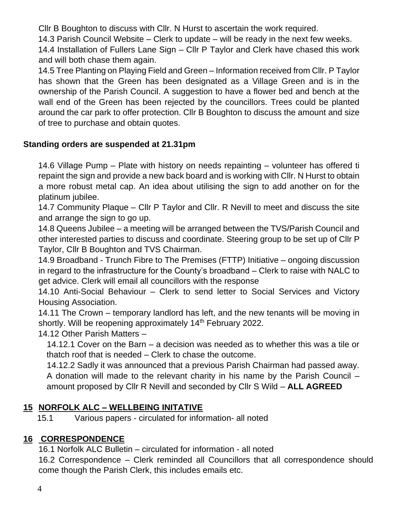Cllr B Boughton to discuss with Cllr. N Hurst to ascertain the work required.

14.3 Parish Council Website – Clerk to update – will be ready in the next few weeks.

14.4 Installation of Fullers Lane Sign – Cllr P Taylor and Clerk have chased this work and will both chase them again.

14.5 Tree Planting on Playing Field and Green – Information received from Cllr. P Taylor has shown that the Green has been designated as a Village Green and is in the ownership of the Parish Council. A suggestion to have a flower bed and bench at the wall end of the Green has been rejected by the councillors. Trees could be planted around the car park to offer protection. Cllr B Boughton to discuss the amount and size of tree to purchase and obtain quotes.

#### **Standing orders are suspended at 21.31pm**

14.6 Village Pump – Plate with history on needs repainting – volunteer has offered ti repaint the sign and provide a new back board and is working with Cllr. N Hurst to obtain a more robust metal cap. An idea about utilising the sign to add another on for the platinum jubilee.

14.7 Community Plaque – Cllr P Taylor and Cllr. R Nevill to meet and discuss the site and arrange the sign to go up.

14.8 Queens Jubilee – a meeting will be arranged between the TVS/Parish Council and other interested parties to discuss and coordinate. Steering group to be set up of Cllr P Taylor, Cllr B Boughton and TVS Chairman.

14.9 Broadband - Trunch Fibre to The Premises (FTTP) Initiative – ongoing discussion in regard to the infrastructure for the County's broadband – Clerk to raise with NALC to get advice. Clerk will email all councillors with the response

14.10 Anti-Social Behaviour – Clerk to send letter to Social Services and Victory Housing Association.

14.11 The Crown – temporary landlord has left, and the new tenants will be moving in shortly. Will be reopening approximately 14<sup>th</sup> February 2022.

#### 14.12 Other Parish Matters –

14.12.1 Cover on the Barn – a decision was needed as to whether this was a tile or thatch roof that is needed – Clerk to chase the outcome.

14.12.2 Sadly it was announced that a previous Parish Chairman had passed away. A donation will made to the relevant charity in his name by the Parish Council – amount proposed by Cllr R Nevill and seconded by Cllr S Wild – **ALL AGREED**

#### **15 NORFOLK ALC – WELLBEING INITATIVE**

15.1 Various papers - circulated for information- all noted

#### **16 CORRESPONDENCE**

16.1 Norfolk ALC Bulletin – circulated for information - all noted

16.2 Correspondence – Clerk reminded all Councillors that all correspondence should come though the Parish Clerk, this includes emails etc.